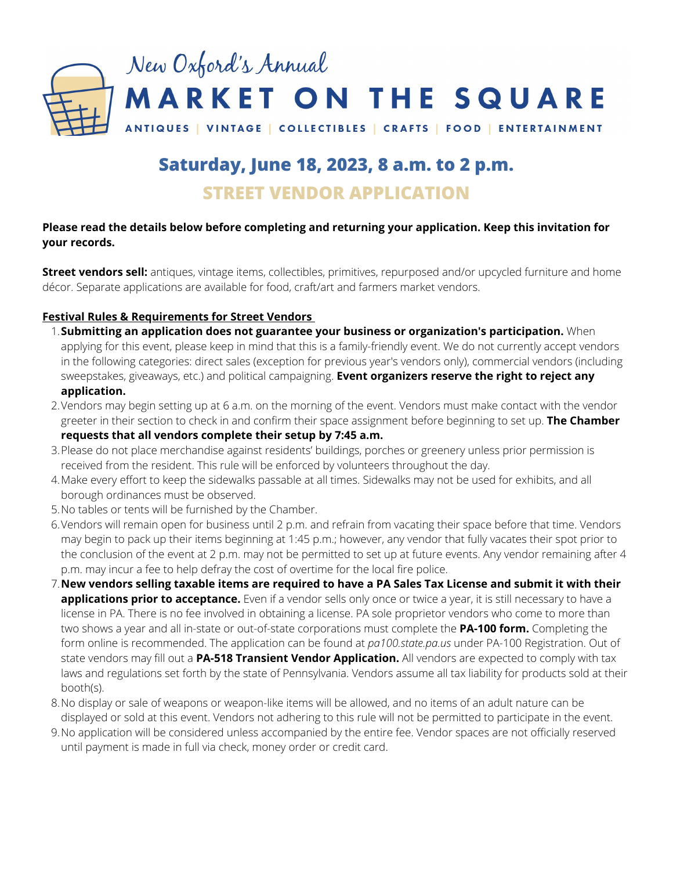

# **Saturday, June 18, 2023, 8 a.m. to 2 p.m. STREET VENDOR APPLICATION**

# **Please read the details below before completing and returning your application. Keep this invitation for your records.**

**Street vendors sell:** antiques, vintage items, collectibles, primitives, repurposed and/or upcycled furniture and home décor. Separate applications are available for food, craft/art and farmers market vendors.

# **Festival Rules & Requirements for Street Vendors**

- **Submitting an application does not guarantee your business or organization's participation.** When 1. applying for this event, please keep in mind that this is a family-friendly event. We do not currently accept vendors in the following categories: direct sales (exception for previous year's vendors only), commercial vendors (including sweepstakes, giveaways, etc.) and political campaigning. **Event organizers reserve the right to reject any application.**
- Vendors may begin setting up at 6 a.m. on the morning of the event. Vendors must make contact with the vendor 2. greeter in their section to check in and confirm their space assignment before beginning to set up. **The Chamber requests that all vendors complete their setup by 7:45 a.m.**
- Please do not place merchandise against residents' buildings, porches or greenery unless prior permission is 3. received from the resident. This rule will be enforced by volunteers throughout the day.
- Make every effort to keep the sidewalks passable at all times. Sidewalks may not be used for exhibits, and all 4. borough ordinances must be observed.
- No tables or tents will be furnished by the Chamber. 5.
- 6.Vendors will remain open for business until 2 p.m. and refrain from vacating their space before that time. Vendors may begin to pack up their items beginning at 1:45 p.m.; however, any vendor that fully vacates their spot prior to the conclusion of the event at 2 p.m. may not be permitted to set up at future events. Any vendor remaining after 4 p.m. may incur a fee to help defray the cost of overtime for the local fire police.
- $7$  New vendors selling taxable items are required to have a PA Sales Tax License and submit it with their  $\,$ **applications prior to acceptance.** Even if a vendor sells only once or twice a year, it is still necessary to have a license in PA. There is no fee involved in obtaining a license. PA sole proprietor vendors who come to more than two shows a year and all in-state or out-of-state corporations must complete the **PA‐100 form.** Completing the form online is recommended. The application can be found at *pa100.state.pa.us* under PA-100 Registration. Out of state vendors may fill out a **PA-518 Transient Vendor Application.** All vendors are expected to comply with tax laws and regulations set forth by the state of Pennsylvania. Vendors assume all tax liability for products sold at their booth(s).
- No display or sale of weapons or weapon-like items will be allowed, and no items of an adult nature can be 8. displayed or sold at this event. Vendors not adhering to this rule will not be permitted to participate in the event.
- No application will be considered unless accompanied by the entire fee. Vendor spaces are not officially reserved 9.until payment is made in full via check, money order or credit card.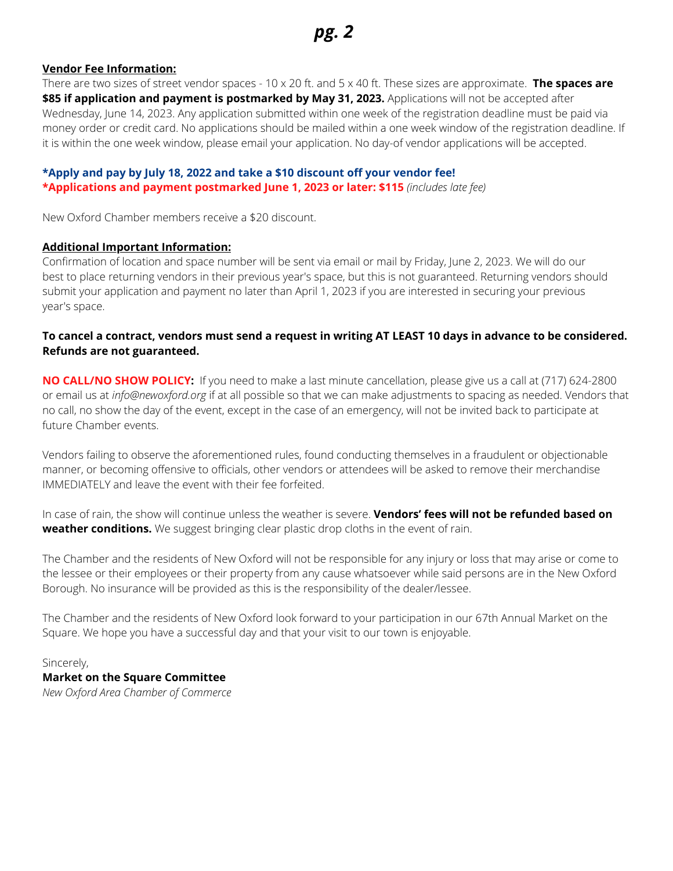# **Vendor Fee Information:**

There are two sizes of street vendor spaces - 10 x 20 ft. and 5 x 40 ft. These sizes are approximate. **The spaces are \$85 if application and payment is postmarked by May 31, 2023.** Applications will not be accepted after Wednesday, June 14, 2023. Any application submitted within one week of the registration deadline must be paid via money order or credit card. No applications should be mailed within a one week window of the registration deadline. If it is within the one week window, please email your application. No day-of vendor applications will be accepted.

# **\*Apply and pay by July 18, 2022 and take a \$10 discount off your vendor fee! \*Applications and payment postmarked June 1, 2023 or later: \$115** *(includes late fee)*

New Oxford Chamber members receive a \$20 discount.

#### **Additional Important Information:**

Confirmation of location and space number will be sent via email or mail by Friday, June 2, 2023. We will do our best to place returning vendors in their previous year's space, but this is not guaranteed. Returning vendors should submit your application and payment no later than April 1, 2023 if you are interested in securing your previous year's space.

# To cancel a contract, vendors must send a request in writing AT LEAST 10 days in advance to be considered. **Refunds are not guaranteed.**

**NO CALL/NO SHOW POLICY:** If you need to make a last minute cancellation, please give us a call at (717) 624-2800 or email us at *info@newoxford.org* if at all possible so that we can make adjustments to spacing as needed. Vendors that no call, no show the day of the event, except in the case of an emergency, will not be invited back to participate at future Chamber events.

Vendors failing to observe the aforementioned rules, found conducting themselves in a fraudulent or objectionable manner, or becoming offensive to officials, other vendors or attendees will be asked to remove their merchandise IMMEDIATELY and leave the event with their fee forfeited.

In case of rain, the show will continue unless the weather is severe. **Vendors' fees will not be refunded based on weather conditions.** We suggest bringing clear plastic drop cloths in the event of rain.

The Chamber and the residents of New Oxford will not be responsible for any injury or loss that may arise or come to the lessee or their employees or their property from any cause whatsoever while said persons are in the New Oxford Borough. No insurance will be provided as this is the responsibility of the dealer/lessee.

The Chamber and the residents of New Oxford look forward to your participation in our 67th Annual Market on the Square. We hope you have a successful day and that your visit to our town is enjoyable.

# Sincerely,

#### **Market on the Square Committee** *New Oxford Area Chamber of Commerce*